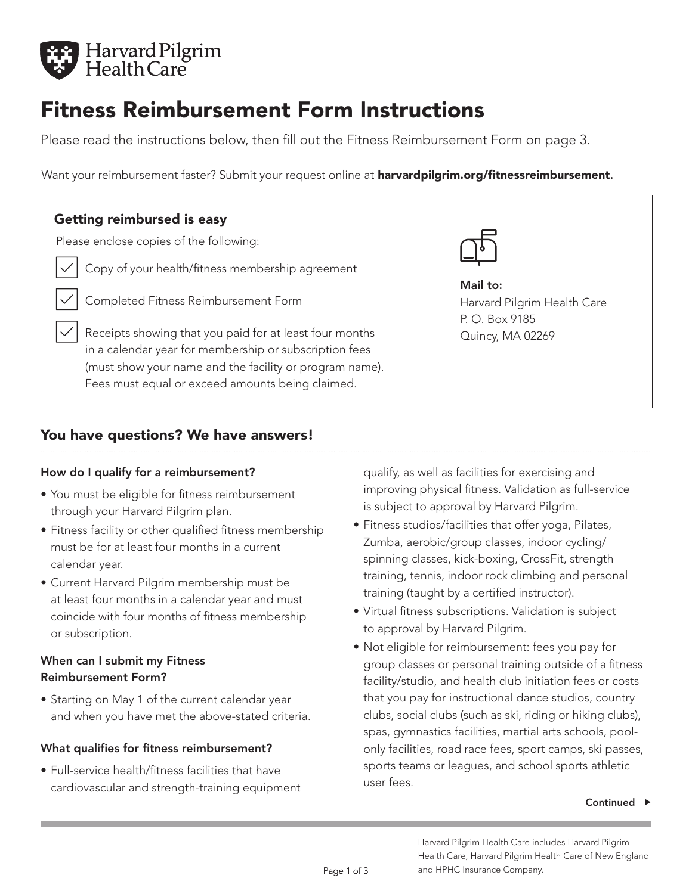

# Fitness Reimbursement Form Instructions

Please read the instructions below, then fill out the Fitness Reimbursement Form on page 3.

Want your reimbursement faster? Submit your request online at **harvardpilgrim.org/fitnessreimbursement.** 

# Getting reimbursed is easy

Please enclose copies of the following:

- Copy of your health/fitness membership agreement
	- Completed Fitness Reimbursement Form

Receipts showing that you paid for at least four months in a calendar year for membership or subscription fees (must show your name and the facility or program name). Fees must equal or exceed amounts being claimed.



Mail to: Harvard Pilgrim Health Care P. O. Box 9185 Quincy, MA 02269

# You have questions? We have answers!

#### How do I qualify for a reimbursement?

- You must be eligible for fitness reimbursement through your Harvard Pilgrim plan.
- Fitness facility or other qualified fitness membership must be for at least four months in a current calendar year.
- Current Harvard Pilgrim membership must be at least four months in a calendar year and must coincide with four months of fitness membership or subscription.

### When can I submit my Fitness Reimbursement Form?

• Starting on May 1 of the current calendar year and when you have met the above-stated criteria.

#### What qualifies for fitness reimbursement?

• Full-service health/fitness facilities that have cardiovascular and strength-training equipment qualify, as well as facilities for exercising and improving physical fitness. Validation as full-service is subject to approval by Harvard Pilgrim.

- Fitness studios/facilities that offer yoga, Pilates, Zumba, aerobic/group classes, indoor cycling/ spinning classes, kick-boxing, CrossFit, strength training, tennis, indoor rock climbing and personal training (taught by a certified instructor).
- Virtual fitness subscriptions. Validation is subject to approval by Harvard Pilgrim.
- Not eligible for reimbursement: fees you pay for group classes or personal training outside of a fitness facility/studio, and health club initiation fees or costs that you pay for instructional dance studios, country clubs, social clubs (such as ski, riding or hiking clubs), spas, gymnastics facilities, martial arts schools, poolonly facilities, road race fees, sport camps, ski passes, sports teams or leagues, and school sports athletic user fees.

#### Continued  $\blacktriangleright$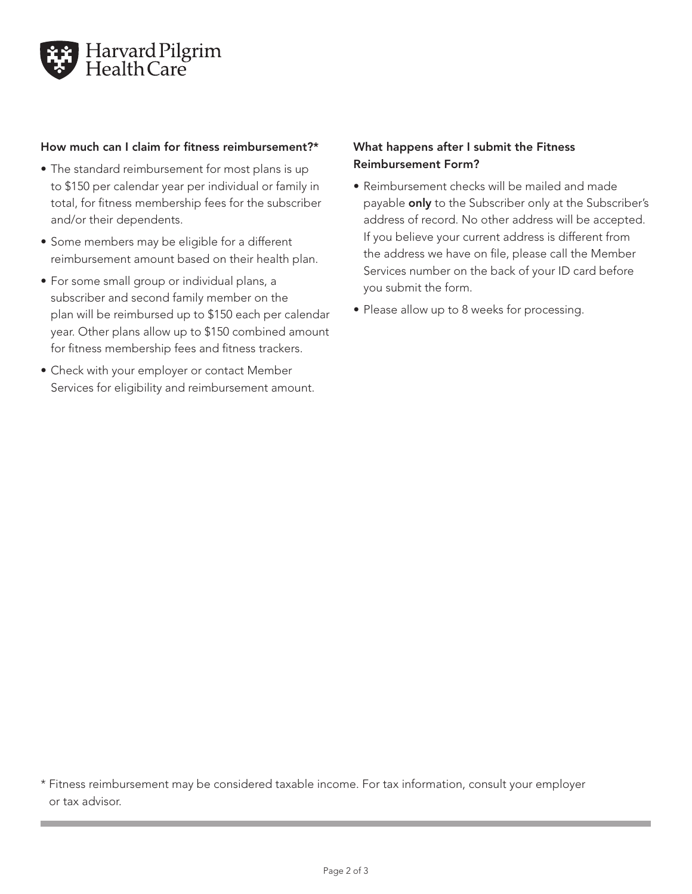

#### How much can I claim for fitness reimbursement?\*

- The standard reimbursement for most plans is up to \$150 per calendar year per individual or family in total, for fitness membership fees for the subscriber and/or their dependents.
- Some members may be eligible for a different reimbursement amount based on their health plan.
- For some small group or individual plans, a subscriber and second family member on the plan will be reimbursed up to \$150 each per calendar year. Other plans allow up to \$150 combined amount for fitness membership fees and fitness trackers.
- Check with your employer or contact Member Services for eligibility and reimbursement amount.

#### What happens after I submit the Fitness Reimbursement Form?

- Reimbursement checks will be mailed and made payable only to the Subscriber only at the Subscriber's address of record. No other address will be accepted. If you believe your current address is different from the address we have on file, please call the Member Services number on the back of your ID card before you submit the form.
- Please allow up to 8 weeks for processing.

\* Fitness reimbursement may be considered taxable income. For tax information, consult your employer or tax advisor.